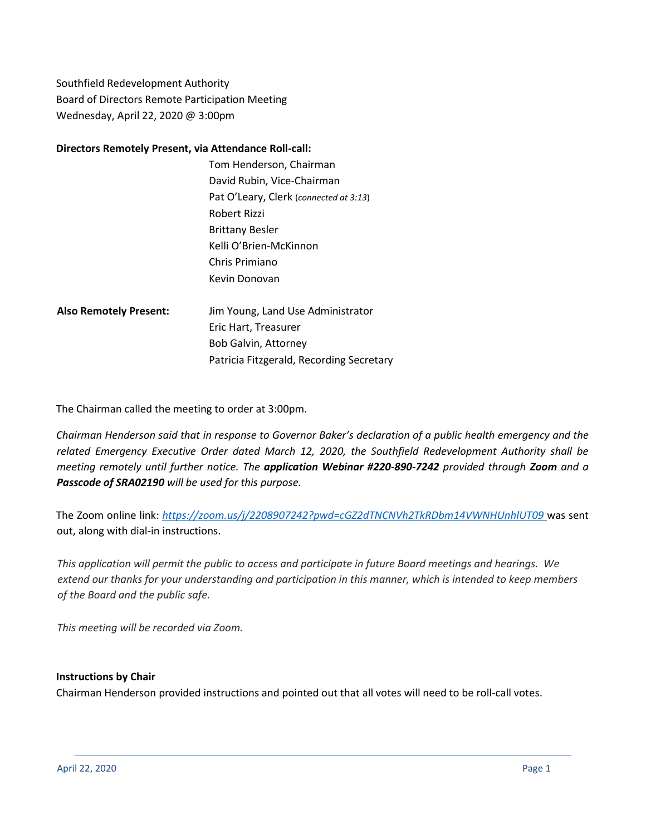Southfield Redevelopment Authority Board of Directors Remote Participation Meeting Wednesday, April 22, 2020 @ 3:00pm

#### **Directors Remotely Present, via Attendance Roll-call:**

- Tom Henderson, Chairman David Rubin, Vice-Chairman Pat O'Leary, Clerk (*connected at 3:13*) Robert Rizzi Brittany Besler Kelli O'Brien-McKinnon Chris Primiano Kevin Donovan
- **Also Remotely Present:** Jim Young, Land Use Administrator Eric Hart, Treasurer Bob Galvin, Attorney Patricia Fitzgerald, Recording Secretary

The Chairman called the meeting to order at 3:00pm.

*Chairman Henderson said that in response to Governor Baker's declaration of a public health emergency and the related Emergency Executive Order dated March 12, 2020, the Southfield Redevelopment Authority shall be meeting remotely until further notice. The application Webinar #220-890-7242 provided through Zoom and a Passcode of SRA02190 will be used for this purpose.*

The Zoom online link: *<https://zoom.us/j/2208907242?pwd=cGZ2dTNCNVh2TkRDbm14VWNHUnhlUT09>* was sent out, along with dial-in instructions.

This application will permit the public to access and participate in future Board meetings and hearings. We extend our thanks for your understanding and participation in this manner, which is intended to keep members *of the Board and the public safe.*

*This meeting will be recorded via Zoom.*

## **Instructions by Chair**

Chairman Henderson provided instructions and pointed out that all votes will need to be roll-call votes.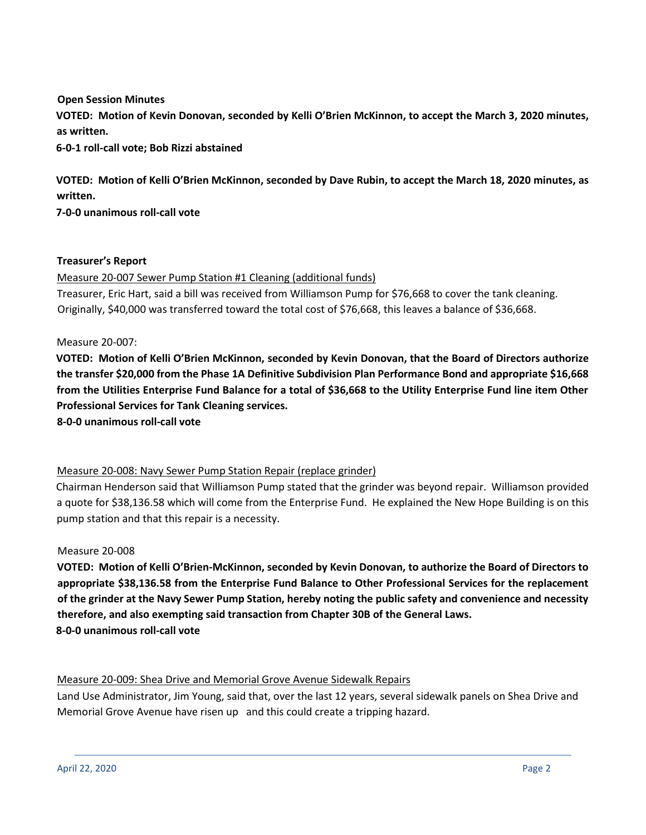**Open Session Minutes VOTED: Motion of Kevin Donovan, seconded by Kelli O'Brien McKinnon, to accept the March 3, 2020 minutes, as written.** 

**6-0-1 roll-call vote; Bob Rizzi abstained**

**VOTED: Motion of Kelli O'Brien McKinnon, seconded by Dave Rubin, to accept the March 18, 2020 minutes, as written.** 

**7-0-0 unanimous roll-call vote**

### **Treasurer's Report**

Measure 20-007 Sewer Pump Station #1 Cleaning (additional funds)

Treasurer, Eric Hart, said a bill was received from Williamson Pump for \$76,668 to cover the tank cleaning. Originally, \$40,000 was transferred toward the total cost of \$76,668, this leaves a balance of \$36,668.

Measure 20-007:

**VOTED: Motion of Kelli O'Brien McKinnon, seconded by Kevin Donovan, that the Board of Directors authorize the transfer \$20,000 from the Phase 1A Definitive Subdivision Plan Performance Bond and appropriate \$16,668 from the Utilities Enterprise Fund Balance for a total of \$36,668 to the Utility Enterprise Fund line item Other Professional Services for Tank Cleaning services.**

**8-0-0 unanimous roll-call vote**

## Measure 20-008: Navy Sewer Pump Station Repair (replace grinder)

Chairman Henderson said that Williamson Pump stated that the grinder was beyond repair. Williamson provided a quote for \$38,136.58 which will come from the Enterprise Fund. He explained the New Hope Building is on this pump station and that this repair is a necessity.

#### Measure 20-008

**VOTED: Motion of Kelli O'Brien-McKinnon, seconded by Kevin Donovan, to authorize the Board of Directors to appropriate \$38,136.58 from the Enterprise Fund Balance to Other Professional Services for the replacement of the grinder at the Navy Sewer Pump Station, hereby noting the public safety and convenience and necessity therefore, and also exempting said transaction from Chapter 30B of the General Laws. 8-0-0 unanimous roll-call vote**

## Measure 20-009: Shea Drive and Memorial Grove Avenue Sidewalk Repairs

Land Use Administrator, Jim Young, said that, over the last 12 years, several sidewalk panels on Shea Drive and Memorial Grove Avenue have risen up and this could create a tripping hazard.